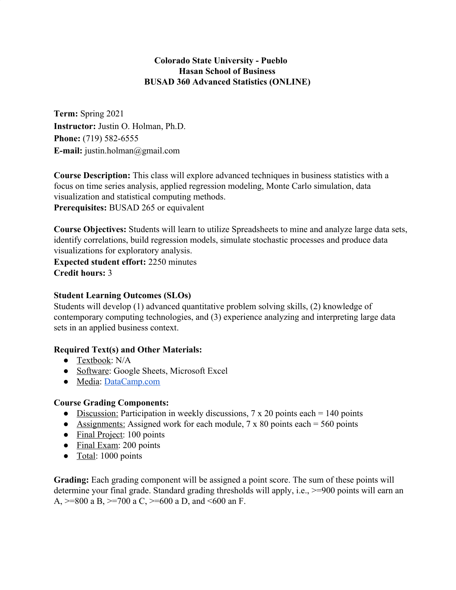# **Colorado State University - Pueblo Hasan School of Business BUSAD 360 Advanced Statistics (ONLINE)**

**Term:** Spring 2021 **Instructor:** Justin O. Holman, Ph.D. **Phone:** (719) 582-6555 **E-mail:** justin.holman@gmail.com

**Course Description:** This class will explore advanced techniques in business statistics with a focus on time series analysis, applied regression modeling, Monte Carlo simulation, data visualization and statistical computing methods. **Prerequisites:** BUSAD 265 or equivalent

**Course Objectives:** Students will learn to utilize Spreadsheets to mine and analyze large data sets, identify correlations, build regression models, simulate stochastic processes and produce data visualizations for exploratory analysis.

**Expected student effort:** 2250 minutes **Credit hours:** 3

### **Student Learning Outcomes (SLOs)**

Students will develop (1) advanced quantitative problem solving skills, (2) knowledge of contemporary computing technologies, and (3) experience analyzing and interpreting large data sets in an applied business context.

## **Required Text(s) and Other Materials:**

- Textbook: N/A
- Software: Google Sheets, Microsoft Excel
- Media: [DataCamp.com](https://www.datacamp.com/)

#### **Course Grading Components:**

- Discussion: Participation in weekly discussions,  $7 \times 20$  points each = 140 points
- Assignments: Assigned work for each module,  $7 \times 80$  points each = 560 points
- Final Project: 100 points
- Final Exam: 200 points
- Total: 1000 points

**Grading:** Each grading component will be assigned a point score. The sum of these points will determine your final grade. Standard grading thresholds will apply, i.e., >=900 points will earn an A,  $>=800$  a B,  $>=700$  a C,  $>=600$  a D, and  $\leq 600$  an F.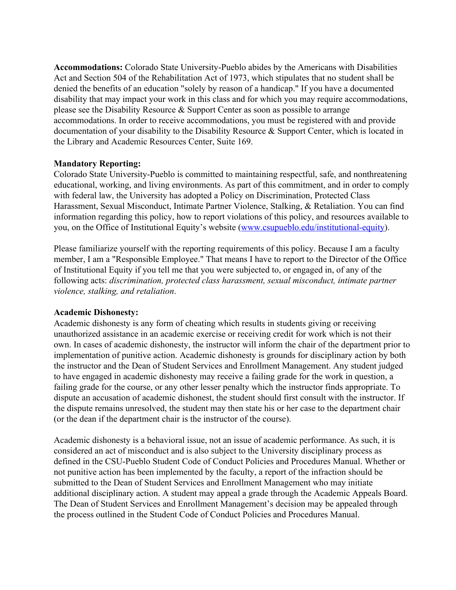**Accommodations:** Colorado State University-Pueblo abides by the Americans with Disabilities Act and Section 504 of the Rehabilitation Act of 1973, which stipulates that no student shall be denied the benefits of an education "solely by reason of a handicap." If you have a documented disability that may impact your work in this class and for which you may require accommodations, please see the Disability Resource & Support Center as soon as possible to arrange accommodations. In order to receive accommodations, you must be registered with and provide documentation of your disability to the Disability Resource & Support Center, which is located in the Library and Academic Resources Center, Suite 169.

### **Mandatory Reporting:**

Colorado State University-Pueblo is committed to maintaining respectful, safe, and nonthreatening educational, working, and living environments. As part of this commitment, and in order to comply with federal law, the University has adopted a Policy on Discrimination, Protected Class Harassment, Sexual Misconduct, Intimate Partner Violence, Stalking, & Retaliation. You can find information regarding this policy, how to report violations of this policy, and resources available to you, on the Office of Institutional Equity's website ([www.csupueblo.edu/institutional-equity\)](http://www.csupueblo.edu/institutional-equity).

Please familiarize yourself with the reporting requirements of this policy. Because I am a faculty member, I am a "Responsible Employee." That means I have to report to the Director of the Office of Institutional Equity if you tell me that you were subjected to, or engaged in, of any of the following acts: *discrimination, protected class harassment, sexual misconduct, intimate partner violence, stalking, and retaliation*.

## **Academic Dishonesty:**

Academic dishonesty is any form of cheating which results in students giving or receiving unauthorized assistance in an academic exercise or receiving credit for work which is not their own. In cases of academic dishonesty, the instructor will inform the chair of the department prior to implementation of punitive action. Academic dishonesty is grounds for disciplinary action by both the instructor and the Dean of Student Services and Enrollment Management. Any student judged to have engaged in academic dishonesty may receive a failing grade for the work in question, a failing grade for the course, or any other lesser penalty which the instructor finds appropriate. To dispute an accusation of academic dishonest, the student should first consult with the instructor. If the dispute remains unresolved, the student may then state his or her case to the department chair (or the dean if the department chair is the instructor of the course).

Academic dishonesty is a behavioral issue, not an issue of academic performance. As such, it is considered an act of misconduct and is also subject to the University disciplinary process as defined in the CSU-Pueblo Student Code of Conduct Policies and Procedures Manual. Whether or not punitive action has been implemented by the faculty, a report of the infraction should be submitted to the Dean of Student Services and Enrollment Management who may initiate additional disciplinary action. A student may appeal a grade through the Academic Appeals Board. The Dean of Student Services and Enrollment Management's decision may be appealed through the process outlined in the Student Code of Conduct Policies and Procedures Manual.